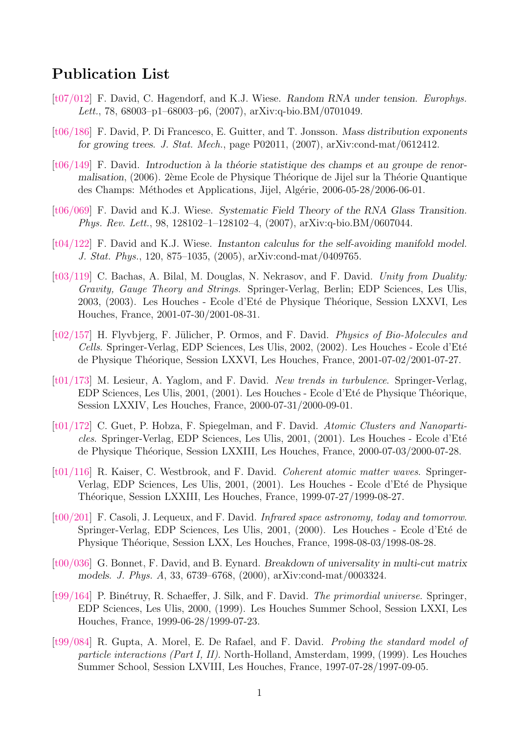## Publication List

- [\[t07/012\]](http://www-spht.cea.fr/Docspht/search/article.php?id=t07/012) F. David, C. Hagendorf, and K.J. Wiese. Random RNA under tension. Europhys. Lett., 78, 68003–p1–68003–p6, (2007), arXiv:q-bio.BM/0701049.
- [\[t06/186\]](http://www-spht.cea.fr/Docspht/search/article.php?id=t06/186) F. David, P. Di Francesco, E. Guitter, and T. Jonsson. Mass distribution exponents for growing trees. J. Stat. Mech., page P02011, (2007), arXiv:cond-mat/0612412.
- $[t06/149]$  F. David. Introduction à la théorie statistique des champs et au groupe de renormalisation, (2006). 2ème Ecole de Physique Théorique de Jijel sur la Théorie Quantique des Champs: Méthodes et Applications, Jijel, Algérie, 2006-05-28/2006-06-01.
- [\[t06/069\]](http://www-spht.cea.fr/Docspht/search/article.php?id=t06/069) F. David and K.J. Wiese. Systematic Field Theory of the RNA Glass Transition. Phys. Rev. Lett., 98, 128102–1–128102–4, (2007), arXiv:q-bio.BM/0607044.
- [\[t04/122\]](http://www-spht.cea.fr/Docspht/search/article.php?id=t04/122) F. David and K.J. Wiese. Instanton calculus for the self-avoiding manifold model. J. Stat. Phys., 120, 875–1035, (2005), arXiv:cond-mat/0409765.
- [\[t03/119\]](http://www-spht.cea.fr/Docspht/search/article.php?id=t03/119) C. Bachas, A. Bilal, M. Douglas, N. Nekrasov, and F. David. Unity from Duality: Gravity, Gauge Theory and Strings. Springer-Verlag, Berlin; EDP Sciences, Les Ulis, 2003, (2003). Les Houches - Ecole d'Eté de Physique Théorique, Session LXXVI, Les Houches, France, 2001-07-30/2001-08-31.
- $[t02/157]$  H. Flyvbjerg, F. Jülicher, P. Ormos, and F. David. *Physics of Bio-Molecules and* Cells. Springer-Verlag, EDP Sciences, Les Ulis, 2002, (2002). Les Houches - Ecole d'Eté de Physique Théorique, Session LXXVI, Les Houches, France, 2001-07-02/2001-07-27.
- [\[t01/173\]](http://www-spht.cea.fr/Docspht/search/article.php?id=t01/173) M. Lesieur, A. Yaglom, and F. David. New trends in turbulence. Springer-Verlag, EDP Sciences, Les Ulis, 2001, (2001). Les Houches - Ecole d'Eté de Physique Théorique, Session LXXIV, Les Houches, France, 2000-07-31/2000-09-01.
- [\[t01/172\]](http://www-spht.cea.fr/Docspht/search/article.php?id=t01/172) C. Guet, P. Hobza, F. Spiegelman, and F. David. Atomic Clusters and Nanoparticles. Springer-Verlag, EDP Sciences, Les Ulis,  $2001$ ,  $(2001)$ . Les Houches - Ecole d'Eté de Physique Théorique, Session LXXIII, Les Houches, France, 2000-07-03/2000-07-28.
- [\[t01/116\]](http://www-spht.cea.fr/Docspht/search/article.php?id=t01/116) R. Kaiser, C. Westbrook, and F. David. *Coherent atomic matter waves*. Springer-Verlag, EDP Sciences, Les Ulis, 2001, (2001). Les Houches - Ecole d'Eté de Physique Théorique, Session LXXIII, Les Houches, France, 1999-07-27/1999-08-27.
- [\[t00/201\]](http://www-spht.cea.fr/Docspht/search/article.php?id=t00/201) F. Casoli, J. Lequeux, and F. David. Infrared space astronomy, today and tomorrow. Springer-Verlag, EDP Sciences, Les Ulis, 2001, (2000). Les Houches - Ecole d'Eté de Physique Théorique, Session LXX, Les Houches, France, 1998-08-03/1998-08-28.
- [\[t00/036\]](http://www-spht.cea.fr/Docspht/search/article.php?id=t00/036) G. Bonnet, F. David, and B. Eynard. Breakdown of universality in multi-cut matrix models. J. Phys. A, 33, 6739–6768, (2000), arXiv:cond-mat/0003324.
- [\[t99/164\]](http://www-spht.cea.fr/Docspht/search/article.php?id=t99/164) P. Binétruy, R. Schaeffer, J. Silk, and F. David. The primordial universe. Springer, EDP Sciences, Les Ulis, 2000, (1999). Les Houches Summer School, Session LXXI, Les Houches, France, 1999-06-28/1999-07-23.
- [\[t99/084\]](http://www-spht.cea.fr/Docspht/search/article.php?id=t99/084) R. Gupta, A. Morel, E. De Rafael, and F. David. Probing the standard model of particle interactions (Part I, II). North-Holland, Amsterdam, 1999, (1999). Les Houches Summer School, Session LXVIII, Les Houches, France, 1997-07-28/1997-09-05.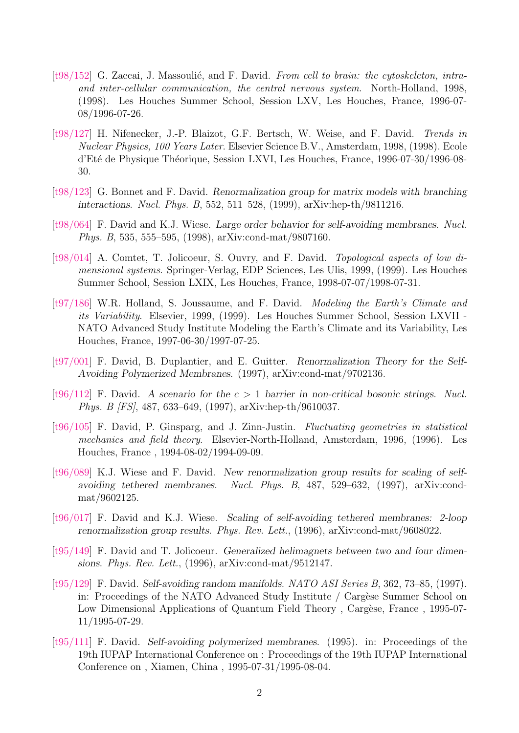- $[t98/152]$  G. Zaccai, J. Massoulié, and F. David. From cell to brain: the cytoskeleton, intraand inter-cellular communication, the central nervous system. North-Holland, 1998, (1998). Les Houches Summer School, Session LXV, Les Houches, France, 1996-07- 08/1996-07-26.
- [\[t98/127\]](http://www-spht.cea.fr/Docspht/search/article.php?id=t98/127) H. Nifenecker, J.-P. Blaizot, G.F. Bertsch, W. Weise, and F. David. Trends in Nuclear Physics, 100 Years Later. Elsevier Science B.V., Amsterdam, 1998, (1998). Ecole d'Eté de Physique Théorique, Session LXVI, Les Houches, France, 1996-07-30/1996-08-30.
- [\[t98/123\]](http://www-spht.cea.fr/Docspht/search/article.php?id=t98/123) G. Bonnet and F. David. Renormalization group for matrix models with branching interactions. Nucl. Phys. B, 552, 511–528, (1999), arXiv:hep-th/9811216.
- [\[t98/064\]](http://www-spht.cea.fr/Docspht/search/article.php?id=t98/064) F. David and K.J. Wiese. Large order behavior for self-avoiding membranes. Nucl. Phys. B, 535, 555–595, (1998), arXiv:cond-mat/9807160.
- [\[t98/014\]](http://www-spht.cea.fr/Docspht/search/article.php?id=t98/014) A. Comtet, T. Jolicoeur, S. Ouvry, and F. David. Topological aspects of low dimensional systems. Springer-Verlag, EDP Sciences, Les Ulis, 1999, (1999). Les Houches Summer School, Session LXIX, Les Houches, France, 1998-07-07/1998-07-31.
- [\[t97/186\]](http://www-spht.cea.fr/Docspht/search/article.php?id=t97/186) W.R. Holland, S. Joussaume, and F. David. Modeling the Earth's Climate and its Variability. Elsevier, 1999, (1999). Les Houches Summer School, Session LXVII - NATO Advanced Study Institute Modeling the Earth's Climate and its Variability, Les Houches, France, 1997-06-30/1997-07-25.
- [\[t97/001\]](http://www-spht.cea.fr/Docspht/search/article.php?id=t97/001) F. David, B. Duplantier, and E. Guitter. Renormalization Theory for the Self-Avoiding Polymerized Membranes. (1997), arXiv:cond-mat/9702136.
- [\[t96/112\]](http://www-spht.cea.fr/Docspht/search/article.php?id=t96/112) F. David. A scenario for the  $c > 1$  barrier in non-critical bosonic strings. Nucl. Phys. B [FS], 487, 633–649, (1997), arXiv:hep-th/9610037.
- [\[t96/105\]](http://www-spht.cea.fr/Docspht/search/article.php?id=t96/105) F. David, P. Ginsparg, and J. Zinn-Justin. Fluctuating geometries in statistical mechanics and field theory. Elsevier-North-Holland, Amsterdam, 1996, (1996). Les Houches, France , 1994-08-02/1994-09-09.
- [\[t96/089\]](http://www-spht.cea.fr/Docspht/search/article.php?id=t96/089) K.J. Wiese and F. David. New renormalization group results for scaling of selfavoiding tethered membranes. Nucl. Phys. B, 487, 529–632, (1997), arXiv:condmat/9602125.
- [\[t96/017\]](http://www-spht.cea.fr/Docspht/search/article.php?id=t96/017) F. David and K.J. Wiese. Scaling of self-avoiding tethered membranes: 2-loop renormalization group results. Phys. Rev. Lett., (1996), arXiv:cond-mat/9608022.
- [\[t95/149\]](http://www-spht.cea.fr/Docspht/search/article.php?id=t95/149) F. David and T. Jolicoeur. Generalized helimagnets between two and four dimensions. Phys. Rev. Lett., (1996), arXiv:cond-mat/9512147.
- [\[t95/129\]](http://www-spht.cea.fr/Docspht/search/article.php?id=t95/129) F. David. Self-avoiding random manifolds. NATO ASI Series B, 362, 73–85, (1997). in: Proceedings of the NATO Advanced Study Institute / Cargèse Summer School on Low Dimensional Applications of Quantum Field Theory, Cargèse, France, 1995-07-11/1995-07-29.
- [\[t95/111\]](http://www-spht.cea.fr/Docspht/search/article.php?id=t95/111) F. David. Self-avoiding polymerized membranes. (1995). in: Proceedings of the 19th IUPAP International Conference on : Proceedings of the 19th IUPAP International Conference on , Xiamen, China , 1995-07-31/1995-08-04.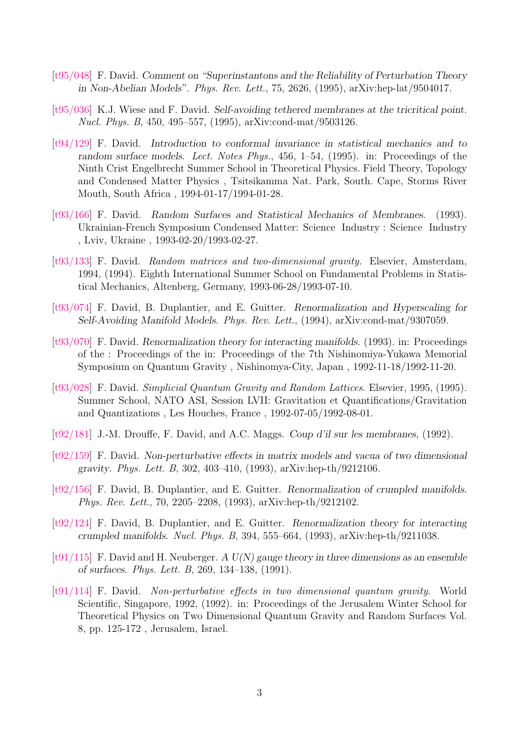- [\[t95/048\]](http://www-spht.cea.fr/Docspht/search/article.php?id=t95/048) F. David. Comment on "Superinstantons and the Reliability of Perturbation Theory in Non-Abelian Models". Phys. Rev. Lett., 75, 2626, (1995), arXiv:hep-lat/9504017.
- [\[t95/036\]](http://www-spht.cea.fr/Docspht/search/article.php?id=t95/036) K.J. Wiese and F. David. Self-avoiding tethered membranes at the tricritical point. Nucl. Phys. B, 450, 495–557, (1995), arXiv:cond-mat/9503126.
- [\[t94/129\]](http://www-spht.cea.fr/Docspht/search/article.php?id=t94/129) F. David. Introduction to conformal invariance in statistical mechanics and to random surface models. Lect. Notes Phys., 456, 1–54, (1995). in: Proceedings of the Ninth Crist Engelbrecht Summer School in Theoretical Physics. Field Theory, Topology and Condensed Matter Physics , Tsitsikamma Nat. Park, South. Cape, Storms River Mouth, South Africa , 1994-01-17/1994-01-28.
- [\[t93/166\]](http://www-spht.cea.fr/Docspht/search/article.php?id=t93/166) F. David. Random Surfaces and Statistical Mechanics of Membranes. (1993). Ukrainian-French Symposium Condensed Matter: Science Industry : Science Industry , Lviv, Ukraine , 1993-02-20/1993-02-27.
- [\[t93/133\]](http://www-spht.cea.fr/Docspht/search/article.php?id=t93/133) F. David. Random matrices and two-dimensional gravity. Elsevier, Amsterdam, 1994, (1994). Eighth International Summer School on Fundamental Problems in Statistical Mechanics, Altenberg, Germany, 1993-06-28/1993-07-10.
- [\[t93/074\]](http://www-spht.cea.fr/Docspht/search/article.php?id=t93/074) F. David, B. Duplantier, and E. Guitter. Renormalization and Hyperscaling for Self-Avoiding Manifold Models. Phys. Rev. Lett., (1994), arXiv:cond-mat/9307059.
- [\[t93/070\]](http://www-spht.cea.fr/Docspht/search/article.php?id=t93/070) F. David. Renormalization theory for interacting manifolds. (1993). in: Proceedings of the : Proceedings of the in: Proceedings of the 7th Nishinomiya-Yukawa Memorial Symposium on Quantum Gravity , Nishinomya-City, Japan , 1992-11-18/1992-11-20.
- [\[t93/028\]](http://www-spht.cea.fr/Docspht/search/article.php?id=t93/028) F. David. Simplicial Quantum Gravity and Random Lattices. Elsevier, 1995, (1995). Summer School, NATO ASI, Session LVII: Gravitation et Quantifications/Gravitation and Quantizations , Les Houches, France , 1992-07-05/1992-08-01.
- [\[t92/181\]](http://www-spht.cea.fr/Docspht/search/article.php?id=t92/181) J.-M. Drouffe, F. David, and A.C. Maggs. Coup d'il sur les membranes, (1992).
- [\[t92/159\]](http://www-spht.cea.fr/Docspht/search/article.php?id=t92/159) F. David. Non-perturbative effects in matrix models and vacua of two dimensional gravity. Phys. Lett. B, 302, 403–410, (1993), arXiv:hep-th/9212106.
- [\[t92/156\]](http://www-spht.cea.fr/Docspht/search/article.php?id=t92/156) F. David, B. Duplantier, and E. Guitter. Renormalization of crumpled manifolds. Phys. Rev. Lett., 70, 2205–2208, (1993), arXiv:hep-th/9212102.
- [\[t92/124\]](http://www-spht.cea.fr/Docspht/search/article.php?id=t92/124) F. David, B. Duplantier, and E. Guitter. Renormalization theory for interacting crumpled manifolds. Nucl. Phys. B, 394, 555–664, (1993), arXiv:hep-th/9211038.
- [\[t91/115\]](http://www-spht.cea.fr/Docspht/search/article.php?id=t91/115) F. David and H. Neuberger. A  $U(N)$  gauge theory in three dimensions as an ensemble of surfaces. Phys. Lett. B, 269, 134–138, (1991).
- [\[t91/114\]](http://www-spht.cea.fr/Docspht/search/article.php?id=t91/114) F. David. Non-perturbative effects in two dimensional quantum gravity. World Scientific, Singapore, 1992, (1992). in: Proceedings of the Jerusalem Winter School for Theoretical Physics on Two Dimensional Quantum Gravity and Random Surfaces Vol. 8, pp. 125-172 , Jerusalem, Israel.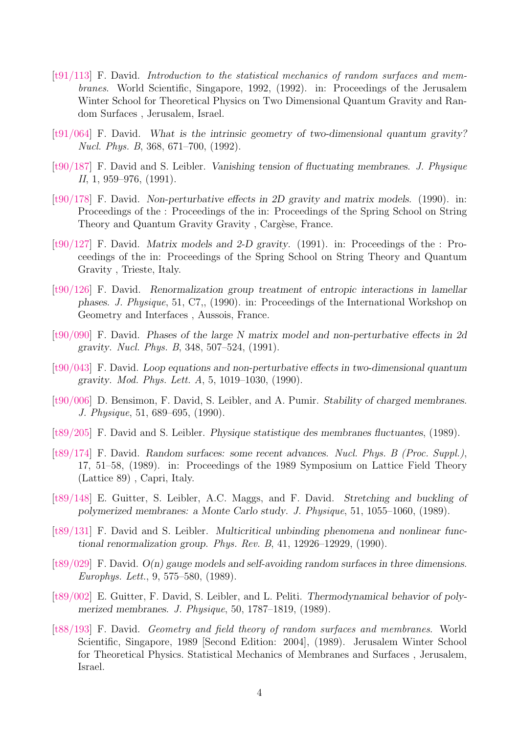- $[t91/113]$  F. David. Introduction to the statistical mechanics of random surfaces and membranes. World Scientific, Singapore, 1992, (1992). in: Proceedings of the Jerusalem Winter School for Theoretical Physics on Two Dimensional Quantum Gravity and Random Surfaces , Jerusalem, Israel.
- [\[t91/064\]](http://www-spht.cea.fr/Docspht/search/article.php?id=t91/064) F. David. What is the intrinsic geometry of two-dimensional quantum gravity? Nucl. Phys. B, 368, 671–700, (1992).
- [\[t90/187\]](http://www-spht.cea.fr/Docspht/search/article.php?id=t90/187) F. David and S. Leibler. Vanishing tension of fluctuating membranes. J. Physique II, 1, 959–976, (1991).
- [\[t90/178\]](http://www-spht.cea.fr/Docspht/search/article.php?id=t90/178) F. David. Non-perturbative effects in 2D gravity and matrix models. (1990). in: Proceedings of the : Proceedings of the in: Proceedings of the Spring School on String Theory and Quantum Gravity Gravity, Cargèse, France.
- $[t90/127]$  F. David. Matrix models and 2-D gravity. (1991). in: Proceedings of the : Proceedings of the in: Proceedings of the Spring School on String Theory and Quantum Gravity , Trieste, Italy.
- [\[t90/126\]](http://www-spht.cea.fr/Docspht/search/article.php?id=t90/126) F. David. Renormalization group treatment of entropic interactions in lamellar phases. J. Physique, 51, C7,, (1990). in: Proceedings of the International Workshop on Geometry and Interfaces , Aussois, France.
- [\[t90/090\]](http://www-spht.cea.fr/Docspht/search/article.php?id=t90/090) F. David. Phases of the large N matrix model and non-perturbative effects in 2d gravity. Nucl. Phys. B, 348, 507–524, (1991).
- [\[t90/043\]](http://www-spht.cea.fr/Docspht/search/article.php?id=t90/043) F. David. Loop equations and non-perturbative effects in two-dimensional quantum gravity. Mod. Phys. Lett. A, 5, 1019–1030, (1990).
- [\[t90/006\]](http://www-spht.cea.fr/Docspht/search/article.php?id=t90/006) D. Bensimon, F. David, S. Leibler, and A. Pumir. Stability of charged membranes. J. Physique, 51, 689–695, (1990).
- [\[t89/205\]](http://www-spht.cea.fr/Docspht/search/article.php?id=t89/205) F. David and S. Leibler. Physique statistique des membranes fluctuantes, (1989).
- [\[t89/174\]](http://www-spht.cea.fr/Docspht/search/article.php?id=t89/174) F. David. Random surfaces: some recent advances. Nucl. Phys. B (Proc. Suppl.), 17, 51–58, (1989). in: Proceedings of the 1989 Symposium on Lattice Field Theory (Lattice 89) , Capri, Italy.
- [\[t89/148\]](http://www-spht.cea.fr/Docspht/search/article.php?id=t89/148) E. Guitter, S. Leibler, A.C. Maggs, and F. David. Stretching and buckling of polymerized membranes: a Monte Carlo study. J. Physique, 51, 1055–1060, (1989).
- [\[t89/131\]](http://www-spht.cea.fr/Docspht/search/article.php?id=t89/131) F. David and S. Leibler. Multicritical unbinding phenomena and nonlinear functional renormalization group. Phys. Rev. B,  $41, 12926-12929, (1990)$ .
- [\[t89/029\]](http://www-spht.cea.fr/Docspht/search/article.php?id=t89/029) F. David. O(n) gauge models and self-avoiding random surfaces in three dimensions. Europhys. Lett., 9, 575–580, (1989).
- [\[t89/002\]](http://www-spht.cea.fr/Docspht/search/article.php?id=t89/002) E. Guitter, F. David, S. Leibler, and L. Peliti. Thermodynamical behavior of polymerized membranes. J. Physique, 50, 1787–1819, (1989).
- [\[t88/193\]](http://www-spht.cea.fr/Docspht/search/article.php?id=t88/193) F. David. Geometry and field theory of random surfaces and membranes. World Scientific, Singapore, 1989 [Second Edition: 2004], (1989). Jerusalem Winter School for Theoretical Physics. Statistical Mechanics of Membranes and Surfaces , Jerusalem, Israel.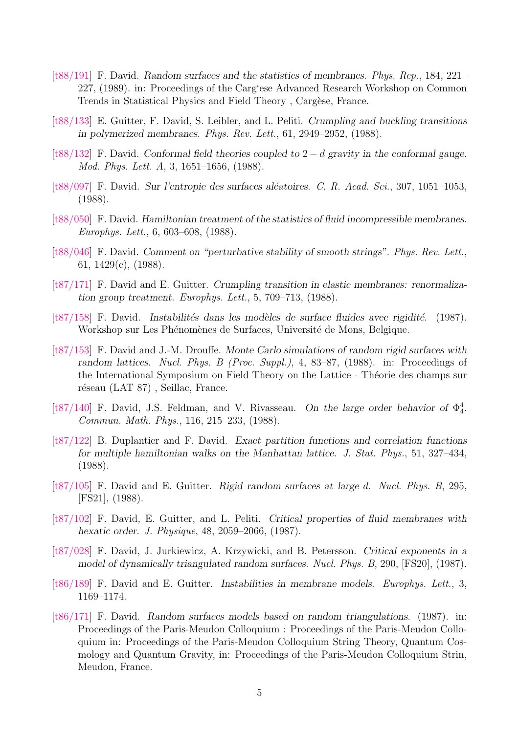- [\[t88/191\]](http://www-spht.cea.fr/Docspht/search/article.php?id=t88/191) F. David. Random surfaces and the statistics of membranes. Phys. Rep., 184, 221– 227, (1989). in: Proceedings of the Carg'ese Advanced Research Workshop on Common Trends in Statistical Physics and Field Theory, Cargèse, France.
- [\[t88/133\]](http://www-spht.cea.fr/Docspht/search/article.php?id=t88/133) E. Guitter, F. David, S. Leibler, and L. Peliti. Crumpling and buckling transitions in polymerized membranes. Phys. Rev. Lett., 61, 2949–2952, (1988).
- [\[t88/132\]](http://www-spht.cea.fr/Docspht/search/article.php?id=t88/132) F. David. Conformal field theories coupled to 2 − d gravity in the conformal gauge. Mod. Phys. Lett. A, 3, 1651–1656, (1988).
- [\[t88/097\]](http://www-spht.cea.fr/Docspht/search/article.php?id=t88/097) F. David. Sur l'entropie des surfaces aléatoires. C. R. Acad. Sci., 307, 1051–1053, (1988).
- [\[t88/050\]](http://www-spht.cea.fr/Docspht/search/article.php?id=t88/050) F. David. Hamiltonian treatment of the statistics of fluid incompressible membranes. Europhys. Lett., 6, 603–608, (1988).
- [\[t88/046\]](http://www-spht.cea.fr/Docspht/search/article.php?id=t88/046) F. David. Comment on "perturbative stability of smooth strings". Phys. Rev. Lett., 61, 1429(c), (1988).
- [\[t87/171\]](http://www-spht.cea.fr/Docspht/search/article.php?id=t87/171) F. David and E. Guitter. Crumpling transition in elastic membranes: renormalization group treatment. Europhys. Lett., 5, 709–713, (1988).
- $[t87/158]$  F. David. Instabilités dans les modèles de surface fluides avec rigidité. (1987). Workshop sur Les Phénomènes de Surfaces, Université de Mons, Belgique.
- [\[t87/153\]](http://www-spht.cea.fr/Docspht/search/article.php?id=t87/153) F. David and J.-M. Drouffe. Monte Carlo simulations of random rigid surfaces with random lattices. Nucl. Phys. B (Proc. Suppl.), 4, 83–87, (1988). in: Proceedings of the International Symposium on Field Theory on the Lattice - Théorie des champs sur réseau (LAT 87), Seillac, France.
- [\[t87/140\]](http://www-spht.cea.fr/Docspht/search/article.php?id=t87/140) F. David, J.S. Feldman, and V. Rivasseau. On the large order behavior of  $\Phi_4^4$ . Commun. Math. Phys., 116, 215–233, (1988).
- [\[t87/122\]](http://www-spht.cea.fr/Docspht/search/article.php?id=t87/122) B. Duplantier and F. David. Exact partition functions and correlation functions for multiple hamiltonian walks on the Manhattan lattice. J. Stat. Phys., 51, 327–434, (1988).
- [\[t87/105\]](http://www-spht.cea.fr/Docspht/search/article.php?id=t87/105) F. David and E. Guitter. Rigid random surfaces at large d. Nucl. Phys. B, 295, [FS21], (1988).
- [\[t87/102\]](http://www-spht.cea.fr/Docspht/search/article.php?id=t87/102) F. David, E. Guitter, and L. Peliti. Critical properties of fluid membranes with hexatic order. J. Physique, 48, 2059–2066, (1987).
- [\[t87/028\]](http://www-spht.cea.fr/Docspht/search/article.php?id=t87/028) F. David, J. Jurkiewicz, A. Krzywicki, and B. Petersson. Critical exponents in a model of dynamically triangulated random surfaces. Nucl. Phys. B, 290, [FS20], (1987).
- [\[t86/189\]](http://www-spht.cea.fr/Docspht/search/article.php?id=t86/189) F. David and E. Guitter. Instabilities in membrane models. Europhys. Lett., 3, 1169–1174.
- [\[t86/171\]](http://www-spht.cea.fr/Docspht/search/article.php?id=t86/171) F. David. Random surfaces models based on random triangulations. (1987). in: Proceedings of the Paris-Meudon Colloquium : Proceedings of the Paris-Meudon Colloquium in: Proceedings of the Paris-Meudon Colloquium String Theory, Quantum Cosmology and Quantum Gravity, in: Proceedings of the Paris-Meudon Colloquium Strin, Meudon, France.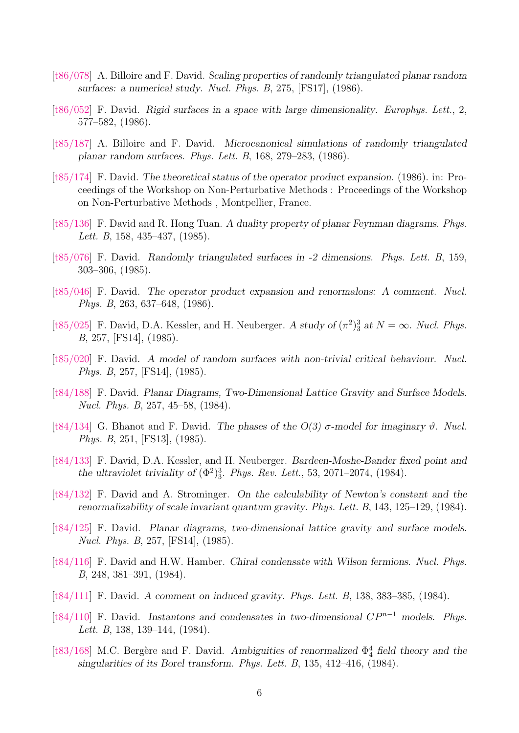- [\[t86/078\]](http://www-spht.cea.fr/Docspht/search/article.php?id=t86/078) A. Billoire and F. David. Scaling properties of randomly triangulated planar random surfaces: a numerical study. Nucl. Phys. B, 275, [FS17], (1986).
- [\[t86/052\]](http://www-spht.cea.fr/Docspht/search/article.php?id=t86/052) F. David. Rigid surfaces in a space with large dimensionality. Europhys. Lett., 2, 577–582, (1986).
- [\[t85/187\]](http://www-spht.cea.fr/Docspht/search/article.php?id=t85/187) A. Billoire and F. David. Microcanonical simulations of randomly triangulated planar random surfaces. Phys. Lett. B, 168, 279–283, (1986).
- [\[t85/174\]](http://www-spht.cea.fr/Docspht/search/article.php?id=t85/174) F. David. The theoretical status of the operator product expansion. (1986). in: Proceedings of the Workshop on Non-Perturbative Methods : Proceedings of the Workshop on Non-Perturbative Methods , Montpellier, France.
- [\[t85/136\]](http://www-spht.cea.fr/Docspht/search/article.php?id=t85/136) F. David and R. Hong Tuan. A duality property of planar Feynman diagrams. Phys. Lett. B, 158, 435–437, (1985).
- [\[t85/076\]](http://www-spht.cea.fr/Docspht/search/article.php?id=t85/076) F. David. Randomly triangulated surfaces in -2 dimensions. Phys. Lett. B, 159, 303–306, (1985).
- [\[t85/046\]](http://www-spht.cea.fr/Docspht/search/article.php?id=t85/046) F. David. The operator product expansion and renormalons: A comment. Nucl. Phys. B, 263, 637–648, (1986).
- [\[t85/025\]](http://www-spht.cea.fr/Docspht/search/article.php?id=t85/025) F. David, D.A. Kessler, and H. Neuberger. A study of  $(\pi^2)^3_3$  at  $N = \infty$ . Nucl. Phys. B, 257, [FS14], (1985).
- [\[t85/020\]](http://www-spht.cea.fr/Docspht/search/article.php?id=t85/020) F. David. A model of random surfaces with non-trivial critical behaviour. Nucl. Phys. B, 257, [FS14], (1985).
- [\[t84/188\]](http://www-spht.cea.fr/Docspht/search/article.php?id=t84/188) F. David. Planar Diagrams, Two-Dimensional Lattice Gravity and Surface Models. Nucl. Phys. B, 257, 45–58, (1984).
- [\[t84/134\]](http://www-spht.cea.fr/Docspht/search/article.php?id=t84/134) G. Bhanot and F. David. The phases of the  $O(3)$   $\sigma$ -model for imaginary  $\vartheta$ . Nucl. Phys. B, 251, [FS13], (1985).
- [\[t84/133\]](http://www-spht.cea.fr/Docspht/search/article.php?id=t84/133) F. David, D.A. Kessler, and H. Neuberger. Bardeen-Moshe-Bander fixed point and the ultraviolet triviality of  $(\Phi^2)^3_3$ . Phys. Rev. Lett., 53, 2071–2074, (1984).
- [\[t84/132\]](http://www-spht.cea.fr/Docspht/search/article.php?id=t84/132) F. David and A. Strominger. On the calculability of Newton's constant and the renormalizability of scale invariant quantum gravity. Phys. Lett. B, 143, 125–129, (1984).
- [\[t84/125\]](http://www-spht.cea.fr/Docspht/search/article.php?id=t84/125) F. David. Planar diagrams, two-dimensional lattice gravity and surface models. Nucl. Phys. B, 257, [FS14], (1985).
- [\[t84/116\]](http://www-spht.cea.fr/Docspht/search/article.php?id=t84/116) F. David and H.W. Hamber. Chiral condensate with Wilson fermions. Nucl. Phys. B, 248, 381–391, (1984).
- [\[t84/111\]](http://www-spht.cea.fr/Docspht/search/article.php?id=t84/111) F. David. A comment on induced gravity. Phys. Lett. B, 138, 383–385, (1984).
- [\[t84/110\]](http://www-spht.cea.fr/Docspht/search/article.php?id=t84/110) F. David. Instantons and condensates in two-dimensional  $CP^{n-1}$  models. Phys. Lett. B, 138, 139–144, (1984).
- [\[t83/168\]](http://www-spht.cea.fr/Docspht/search/article.php?id=t83/168) M.C. Bergère and F. David. Ambiguities of renormalized  $\Phi_4^4$  field theory and the singularities of its Borel transform. Phys. Lett. B, 135, 412–416, (1984).